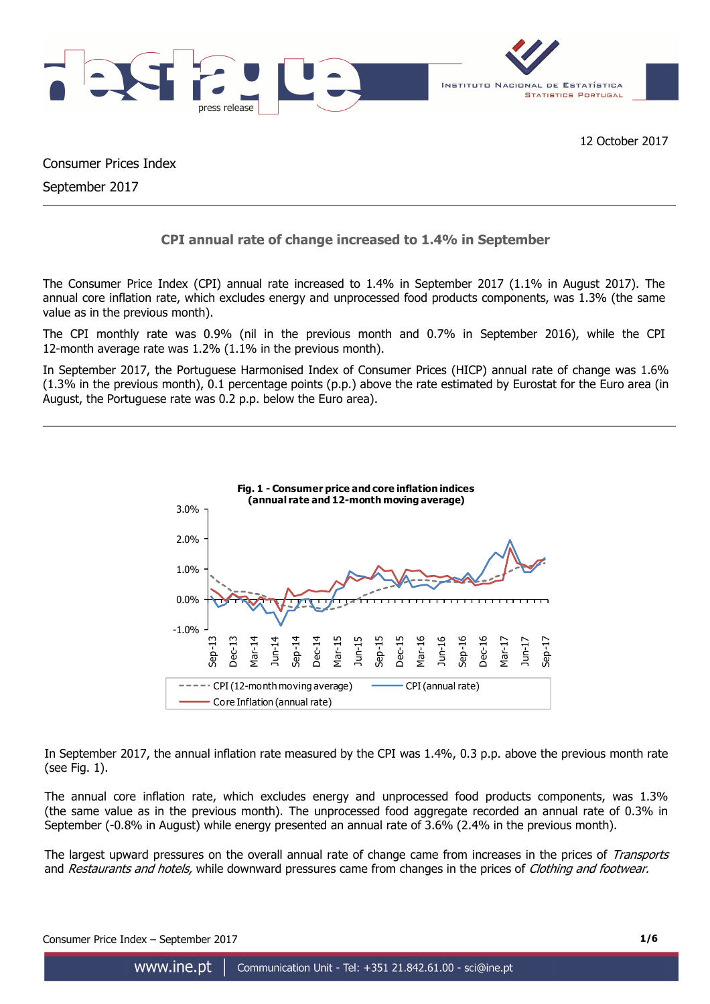

Consumer Prices Index September 2017

## **CPI annual rate of change increased to 1.4% in September**

The Consumer Price Index (CPI) annual rate increased to 1.4% in September 2017 (1.1% in August 2017). The annual core inflation rate, which excludes energy and unprocessed food products components, was 1.3% (the same value as in the previous month).

The CPI monthly rate was 0.9% (nil in the previous month and 0.7% in September 2016), while the CPI 12-month average rate was 1.2% (1.1% in the previous month).

In September 2017, the Portuguese Harmonised Index of Consumer Prices (HICP) annual rate of change was 1.6% (1.3% in the previous month), 0.1 percentage points (p.p.) above the rate estimated by Eurostat for the Euro area (in August, the Portuguese rate was 0.2 p.p. below the Euro area).



In September 2017, the annual inflation rate measured by the CPI was 1.4%, 0.3 p.p. above the previous month rate (see Fig. 1).

The annual core inflation rate, which excludes energy and unprocessed food products components, was 1.3% (the same value as in the previous month). The unprocessed food aggregate recorded an annual rate of 0.3% in September (-0.8% in August) while energy presented an annual rate of 3.6% (2.4% in the previous month).

The largest upward pressures on the overall annual rate of change came from increases in the prices of Transports and Restaurants and hotels, while downward pressures came from changes in the prices of Clothing and footwear.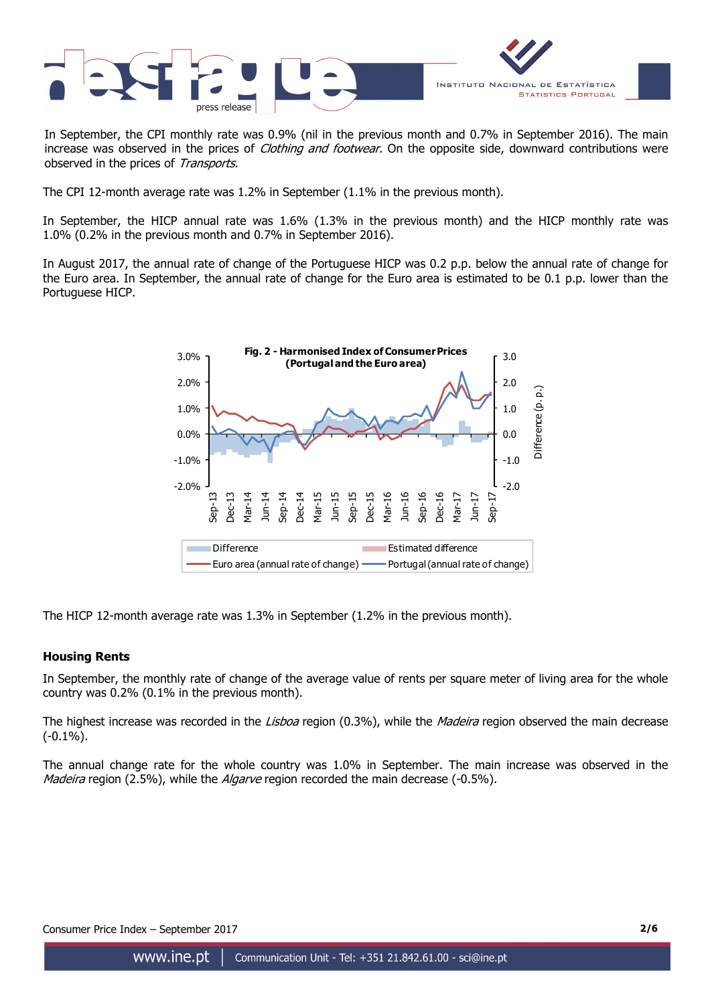

In September, the CPI monthly rate was 0.9% (nil in the previous month and 0.7% in September 2016). The main increase was observed in the prices of *Clothing and footwear*. On the opposite side, downward contributions were observed in the prices of Transports.

The CPI 12-month average rate was 1.2% in September (1.1% in the previous month).

In September, the HICP annual rate was 1.6% (1.3% in the previous month) and the HICP monthly rate was 1.0% (0.2% in the previous month and 0.7% in September 2016).

In August 2017, the annual rate of change of the Portuguese HICP was 0.2 p.p. below the annual rate of change for the Euro area. In September, the annual rate of change for the Euro area is estimated to be 0.1 p.p. lower than the Portuguese HICP.



The HICP 12-month average rate was 1.3% in September (1.2% in the previous month).

## **Housing Rents**

In September, the monthly rate of change of the average value of rents per square meter of living area for the whole country was 0.2% (0.1% in the previous month).

The highest increase was recorded in the Lisboa region (0.3%), while the Madeira region observed the main decrease (-0.1%).

The annual change rate for the whole country was 1.0% in September. The main increase was observed in the *Madeira* region (2.5%), while the *Algarve* region recorded the main decrease (-0.5%).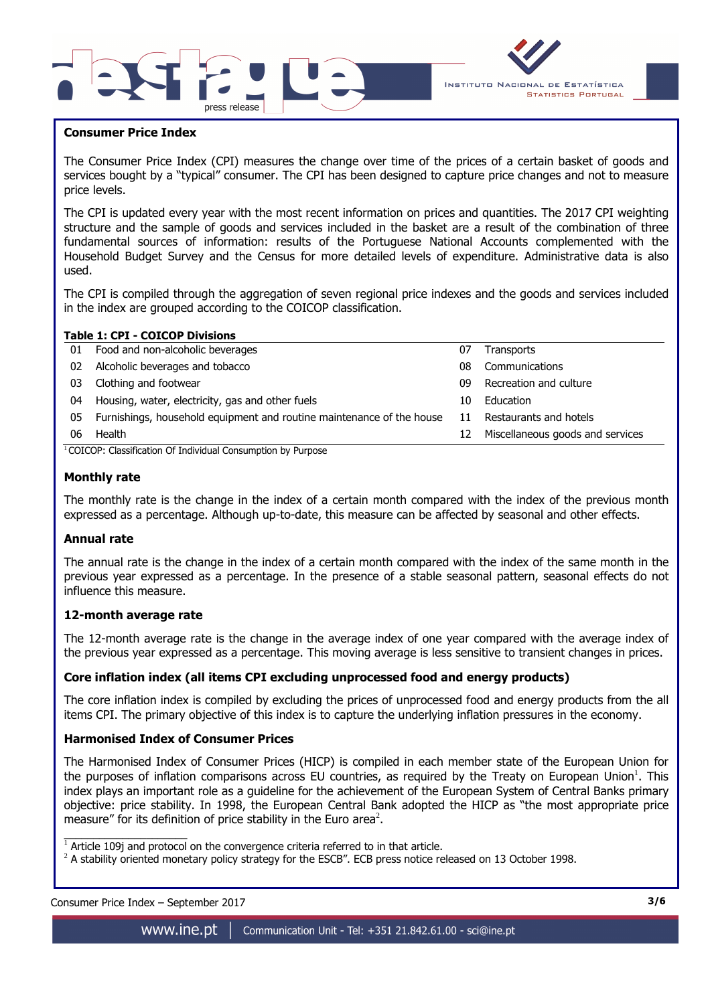



#### **Consumer Price Index**

I

The Consumer Price Index (CPI) measures the change over time of the prices of a certain basket of goods and services bought by a "typical" consumer. The CPI has been designed to capture price changes and not to measure price levels.

The CPI is updated every year with the most recent information on prices and quantities. The 2017 CPI weighting structure and the sample of goods and services included in the basket are a result of the combination of three fundamental sources of information: results of the Portuguese National Accounts complemented with the Household Budget Survey and the Census for more detailed levels of expenditure. Administrative data is also used.

The CPI is compiled through the aggregation of seven regional price indexes and the goods and services included in the index are grouped according to the COICOP classification.

|    | <b>Table 1: CPI - COICOP Divisions</b>                                |    |                                  |  |  |  |  |  |  |  |
|----|-----------------------------------------------------------------------|----|----------------------------------|--|--|--|--|--|--|--|
| 01 | Food and non-alcoholic beverages                                      | 07 | Transports                       |  |  |  |  |  |  |  |
| 02 | Alcoholic beverages and tobacco                                       | 08 | Communications                   |  |  |  |  |  |  |  |
| 03 | Clothing and footwear                                                 | 09 | Recreation and culture           |  |  |  |  |  |  |  |
| 04 | Housing, water, electricity, gas and other fuels                      | 10 | Education                        |  |  |  |  |  |  |  |
| 05 | Furnishings, household equipment and routine maintenance of the house | 11 | Restaurants and hotels           |  |  |  |  |  |  |  |
| 06 | Health                                                                | 12 | Miscellaneous goods and services |  |  |  |  |  |  |  |
|    | COICOD: Classification Of Individual Consumption by Dumeses           |    |                                  |  |  |  |  |  |  |  |

<sup>1</sup>COICOP: Classification Of Individual Consumption by Purpose

#### **Monthly rate**

The monthly rate is the change in the index of a certain month compared with the index of the previous month expressed as a percentage. Although up-to-date, this measure can be affected by seasonal and other effects.

#### **Annual rate**

The annual rate is the change in the index of a certain month compared with the index of the same month in the previous year expressed as a percentage. In the presence of a stable seasonal pattern, seasonal effects do not influence this measure.

## **12-month average rate**

The 12-month average rate is the change in the average index of one year compared with the average index of the previous year expressed as a percentage. This moving average is less sensitive to transient changes in prices.

## **Core inflation index (all items CPI excluding unprocessed food and energy products)**

The core inflation index is compiled by excluding the prices of unprocessed food and energy products from the all items CPI. The primary objective of this index is to capture the underlying inflation pressures in the economy.

#### **Harmonised Index of Consumer Prices**

The Harmonised Index of Consumer Prices (HICP) is compiled in each member state of the European Union for the purposes of inflation comparisons across EU countries, as required by the Treaty on European Union<sup>1</sup>. This index plays an important role as a guideline for the achievement of the European System of Central Banks primary objective: price stability. In 1998, the European Central Bank adopted the HICP as "the most appropriate price measure" for its definition of price stability in the Euro area<sup>2</sup>.

Consumer Price Index – September 2017 **3/6**

 $\overline{\phantom{a}}$  , and the set of the set of the set of the set of the set of the set of the set of the set of the set of the set of the set of the set of the set of the set of the set of the set of the set of the set of the s

 $1$  Article 109j and protocol on the convergence criteria referred to in that article.

 $^2$  A stability oriented monetary policy strategy for the ESCB". ECB press notice released on 13 October 1998.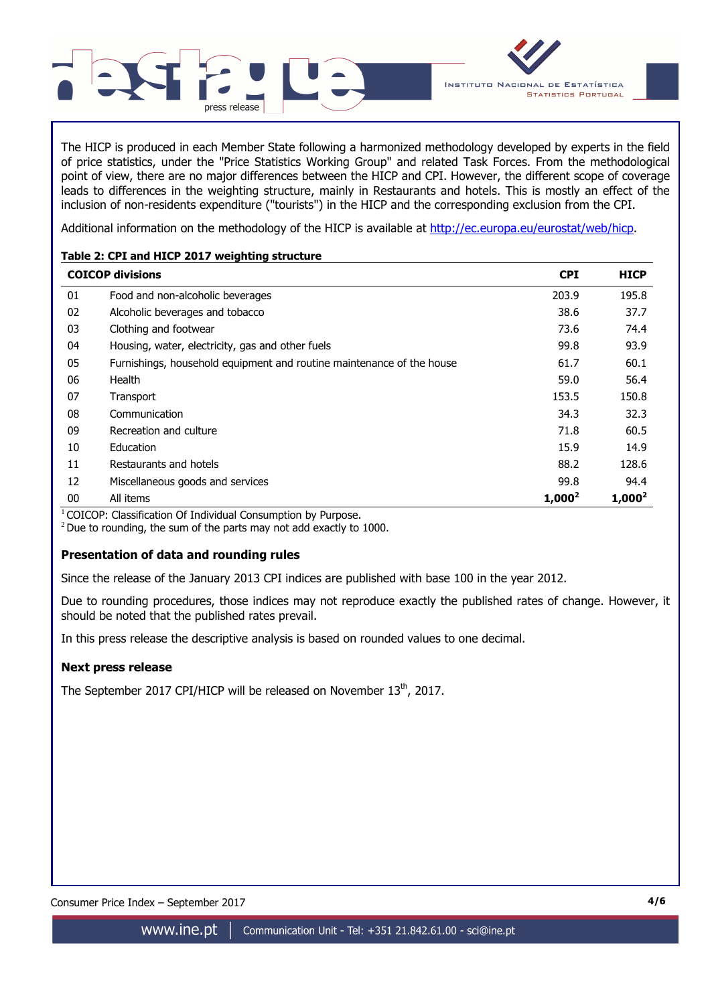

The HICP is produced in each Member State following a harmonized methodology developed by experts in the field of price statistics, under the "Price Statistics Working Group" and related Task Forces. From the methodological point of view, there are no major differences between the HICP and CPI. However, the different scope of coverage leads to differences in the weighting structure, mainly in Restaurants and hotels. This is mostly an effect of the inclusion of non-residents expenditure ("tourists") in the HICP and the corresponding exclusion from the CPI.

Additional information on the methodology of the HICP is available at http://ec.europa.eu/eurostat/web/hicp.

## **Table 2: CPI and HICP 2017 weighting structure**

|    | <b>COICOP divisions</b>                                               | <b>CPI</b> | <b>HICP</b> |
|----|-----------------------------------------------------------------------|------------|-------------|
| 01 | Food and non-alcoholic beverages                                      | 203.9      | 195.8       |
| 02 | Alcoholic beverages and tobacco                                       | 38.6       | 37.7        |
| 03 | Clothing and footwear                                                 | 73.6       | 74.4        |
| 04 | Housing, water, electricity, gas and other fuels                      | 99.8       | 93.9        |
| 05 | Furnishings, household equipment and routine maintenance of the house | 61.7       | 60.1        |
| 06 | <b>Health</b>                                                         | 59.0       | 56.4        |
| 07 | Transport                                                             | 153.5      | 150.8       |
| 08 | Communication                                                         | 34.3       | 32.3        |
| 09 | Recreation and culture                                                | 71.8       | 60.5        |
| 10 | Education                                                             | 15.9       | 14.9        |
| 11 | Restaurants and hotels                                                | 88.2       | 128.6       |
| 12 | Miscellaneous goods and services                                      | 99.8       | 94.4        |
| 00 | All items                                                             | $1,000^2$  | $1,000^2$   |

 $1$ COICOP: Classification Of Individual Consumption by Purpose.

 $2$  Due to rounding, the sum of the parts may not add exactly to 1000.

## **Presentation of data and rounding rules**

Since the release of the January 2013 CPI indices are published with base 100 in the year 2012.

Due to rounding procedures, those indices may not reproduce exactly the published rates of change. However, it should be noted that the published rates prevail.

In this press release the descriptive analysis is based on rounded values to one decimal.

## **Next press release**

The September 2017 CPI/HICP will be released on November 13<sup>th</sup>, 2017.

Consumer Price Index – September 2017 **4/6**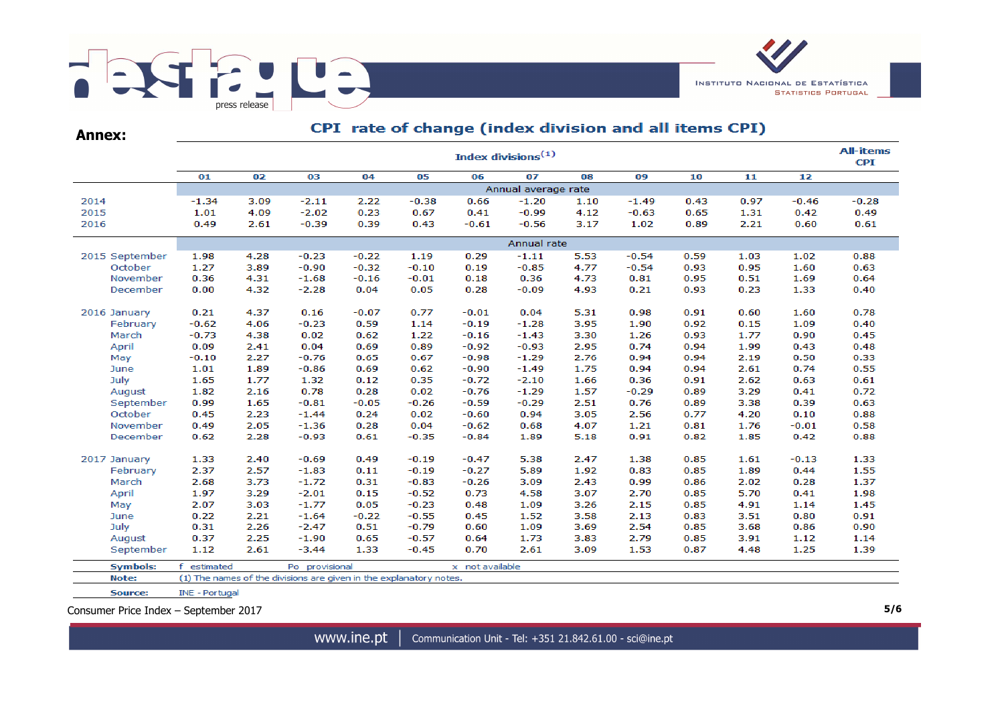

**Annex:**

# CPI rate of change (index division and all items CPI)

|                 |                     |      |                                                                    |         |         |                 | Index divisions <sup>(1)</sup> |      |         |      |      |         | <b>All-items</b><br><b>CPI</b> |
|-----------------|---------------------|------|--------------------------------------------------------------------|---------|---------|-----------------|--------------------------------|------|---------|------|------|---------|--------------------------------|
|                 | 01                  | 02   | 03                                                                 | 04      | 05      | 06              | 07                             | 08   | 09      | 10   | 11   | 12      |                                |
|                 | Annual average rate |      |                                                                    |         |         |                 |                                |      |         |      |      |         |                                |
| 2014            | $-1.34$             | 3.09 | $-2.11$                                                            | 2.22    | $-0.38$ | 0.66            | $-1.20$                        | 1.10 | $-1.49$ | 0.43 | 0.97 | $-0.46$ | $-0.28$                        |
| 2015            | 1.01                | 4.09 | $-2.02$                                                            | 0.23    | 0.67    | 0.41            | $-0.99$                        | 4.12 | $-0.63$ | 0.65 | 1.31 | 0.42    | 0.49                           |
| 2016            | 0.49                | 2.61 | $-0.39$                                                            | 0.39    | 0.43    | $-0.61$         | $-0.56$                        | 3.17 | 1.02    | 0.89 | 2.21 | 0.60    | 0.61                           |
|                 | Annual rate         |      |                                                                    |         |         |                 |                                |      |         |      |      |         |                                |
| 2015 September  | 1.98                | 4.28 | $-0.23$                                                            | $-0.22$ | 1.19    | 0.29            | $-1.11$                        | 5.53 | $-0.54$ | 0.59 | 1.03 | 1.02    | 0.88                           |
| October         | 1.27                | 3.89 | $-0.90$                                                            | $-0.32$ | $-0.10$ | 0.19            | $-0.85$                        | 4.77 | $-0.54$ | 0.93 | 0.95 | 1.60    | 0.63                           |
| November        | 0.36                | 4.31 | $-1.68$                                                            | $-0.16$ | $-0.01$ | 0.18            | 0.36                           | 4.73 | 0.81    | 0.95 | 0.51 | 1.69    | 0.64                           |
| December        | 0.00                | 4.32 | $-2.28$                                                            | 0.04    | 0.05    | 0.28            | $-0.09$                        | 4.93 | 0.21    | 0.93 | 0.23 | 1.33    | 0.40                           |
| 2016 January    | 0.21                | 4.37 | 0.16                                                               | $-0.07$ | 0.77    | $-0.01$         | 0.04                           | 5.31 | 0.98    | 0.91 | 0.60 | 1.60    | 0.78                           |
| February        | $-0.62$             | 4.06 | $-0.23$                                                            | 0.59    | 1.14    | $-0.19$         | $-1.28$                        | 3.95 | 1.90    | 0.92 | 0.15 | 1.09    | 0.40                           |
| March           | $-0.73$             | 4.38 | 0.02                                                               | 0.62    | 1.22    | $-0.16$         | $-1.43$                        | 3.30 | 1.26    | 0.93 | 1.77 | 0.90    | 0.45                           |
| April           | 0.09                | 2.41 | 0.04                                                               | 0.69    | 0.89    | $-0.92$         | $-0.93$                        | 2.95 | 0.74    | 0.94 | 1.99 | 0.43    | 0.48                           |
| May             | $-0.10$             | 2.27 | $-0.76$                                                            | 0.65    | 0.67    | $-0.98$         | $-1.29$                        | 2.76 | 0.94    | 0.94 | 2.19 | 0.50    | 0.33                           |
| June            | 1.01                | 1.89 | $-0.86$                                                            | 0.69    | 0.62    | $-0.90$         | $-1.49$                        | 1.75 | 0.94    | 0.94 | 2.61 | 0.74    | 0.55                           |
| July            | 1.65                | 1.77 | 1.32                                                               | 0.12    | 0.35    | $-0.72$         | $-2.10$                        | 1.66 | 0.36    | 0.91 | 2.62 | 0.63    | 0.61                           |
| August          | 1.82                | 2.16 | 0.78                                                               | 0.28    | 0.02    | $-0.76$         | $-1.29$                        | 1.57 | $-0.29$ | 0.89 | 3.29 | 0.41    | 0.72                           |
| September       | 0.99                | 1.65 | $-0.81$                                                            | $-0.05$ | $-0.26$ | $-0.59$         | $-0.29$                        | 2.51 | 0.76    | 0.89 | 3.38 | 0.39    | 0.63                           |
| October         | 0.45                | 2.23 | $-1.44$                                                            | 0.24    | 0.02    | $-0.60$         | 0.94                           | 3.05 | 2.56    | 0.77 | 4.20 | 0.10    | 0.88                           |
| November        | 0.49                | 2.05 | $-1.36$                                                            | 0.28    | 0.04    | $-0.62$         | 0.68                           | 4.07 | 1.21    | 0.81 | 1.76 | $-0.01$ | 0.58                           |
| December        | 0.62                | 2.28 | $-0.93$                                                            | 0.61    | $-0.35$ | $-0.84$         | 1.89                           | 5.18 | 0.91    | 0.82 | 1.85 | 0.42    | 0.88                           |
| 2017 January    | 1.33                | 2.40 | $-0.69$                                                            | 0.49    | $-0.19$ | $-0.47$         | 5.38                           | 2.47 | 1.38    | 0.85 | 1.61 | $-0.13$ | 1.33                           |
| February        | 2.37                | 2.57 | $-1.83$                                                            | 0.11    | $-0.19$ | $-0.27$         | 5.89                           | 1.92 | 0.83    | 0.85 | 1.89 | 0.44    | 1.55                           |
| March           | 2.68                | 3.73 | $-1.72$                                                            | 0.31    | $-0.83$ | $-0.26$         | 3.09                           | 2.43 | 0.99    | 0.86 | 2.02 | 0.28    | 1.37                           |
| April           | 1.97                | 3.29 | $-2.01$                                                            | 0.15    | $-0.52$ | 0.73            | 4.58                           | 3.07 | 2.70    | 0.85 | 5.70 | 0.41    | 1.98                           |
| May             | 2.07                | 3.03 | $-1.77$                                                            | 0.05    | $-0.23$ | 0.48            | 1.09                           | 3.26 | 2.15    | 0.85 | 4.91 | 1.14    | 1.45                           |
| June            | 0.22                | 2.21 | $-1.64$                                                            | $-0.22$ | $-0.55$ | 0.45            | 1.52                           | 3.58 | 2.13    | 0.83 | 3.51 | 0.80    | 0.91                           |
| July            | 0.31                | 2.26 | $-2.47$                                                            | 0.51    | $-0.79$ | 0.60            | 1.09                           | 3.69 | 2.54    | 0.85 | 3.68 | 0.86    | 0.90                           |
| August          | 0.37                | 2.25 | $-1.90$                                                            | 0.65    | $-0.57$ | 0.64            | 1.73                           | 3.83 | 2.79    | 0.85 | 3.91 | 1.12    | 1.14                           |
| September       | 1.12                | 2.61 | $-3.44$                                                            | 1.33    | $-0.45$ | 0.70            | 2.61                           | 3.09 | 1.53    | 0.87 | 4.48 | 1.25    | 1.39                           |
| <b>Symbols:</b> | estimated           |      | Po provisional                                                     |         |         | x not available |                                |      |         |      |      |         |                                |
| Note:           |                     |      | (1) The names of the divisions are given in the explanatory notes. |         |         |                 |                                |      |         |      |      |         |                                |
| Source:         | INE - Portugal      |      |                                                                    |         |         |                 |                                |      |         |      |      |         |                                |

Consumer Price Index – September 2017 **5/6**